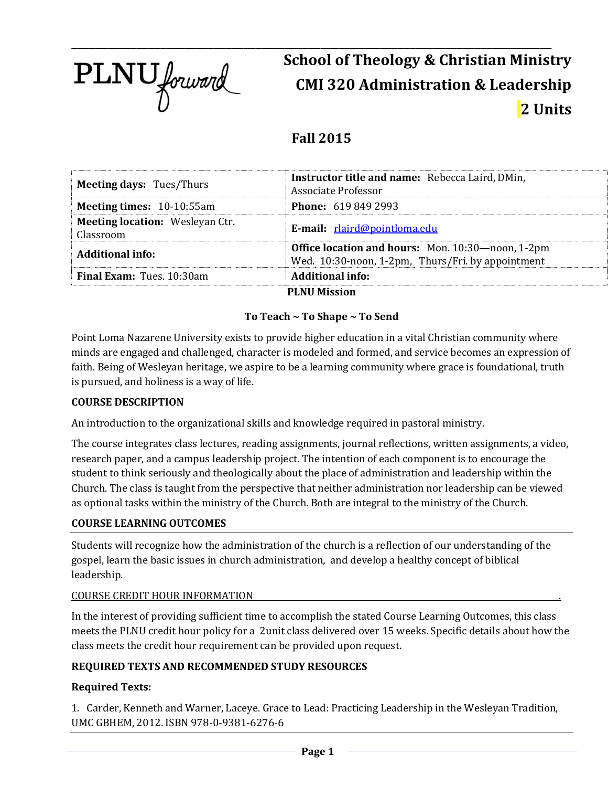

# \_\_\_\_\_\_\_\_\_\_\_\_\_\_\_\_\_\_\_\_\_\_\_\_\_\_\_\_\_\_\_\_\_\_\_\_\_\_\_\_\_\_\_\_\_\_\_\_\_\_\_\_\_\_\_\_\_\_\_\_\_\_\_\_\_\_\_\_\_\_\_\_\_\_\_\_\_\_\_\_\_ **School of Theology & Christian Ministry CMI 320 Administration & Leadership 2 Units**

## **Fall 2015**

| <b>Meeting days: Tues/Thurs</b>                     | Instructor title and name: Rebecca Laird, DMin,<br>Associate Professor                                 |
|-----------------------------------------------------|--------------------------------------------------------------------------------------------------------|
| <b>Meeting times: 10-10:55am</b>                    | <b>Phone: 619 849 2993</b>                                                                             |
| <b>Meeting location: Wesleyan Ctr.</b><br>Classroom | E-mail: rlaird@pointloma.edu                                                                           |
| <b>Additional info:</b>                             | Office location and hours: Mon. 10:30-noon, 1-2pm<br>Wed. 10:30-noon, 1-2pm, Thurs/Fri. by appointment |
| <b>Final Exam:</b> Tues. 10:30am                    | <b>Additional info:</b>                                                                                |
|                                                     | <b>PLNU Mission</b>                                                                                    |

## **To Teach ~ To Shape ~ To Send**

Point Loma Nazarene University exists to provide higher education in a vital Christian community where minds are engaged and challenged, character is modeled and formed, and service becomes an expression of faith. Being of Wesleyan heritage, we aspire to be a learning community where grace is foundational, truth is pursued, and holiness is a way of life.

#### **COURSE DESCRIPTION**

An introduction to the organizational skills and knowledge required in pastoral ministry.

The course integrates class lectures, reading assignments, journal reflections, written assignments, a video, research paper, and a campus leadership project. The intention of each component is to encourage the student to think seriously and theologically about the place of administration and leadership within the Church. The class is taught from the perspective that neither administration nor leadership can be viewed as optional tasks within the ministry of the Church. Both are integral to the ministry of the Church.

#### **COURSE LEARNING OUTCOMES**

Students will recognize how the administration of the church is a reflection of our understanding of the gospel, learn the basic issues in church administration, and develop a healthy concept of biblical leadership.

#### COURSE CREDIT HOUR INFORMATION .

In the interest of providing sufficient time to accomplish the stated Course Learning Outcomes, this class meets the PLNU credit hour policy for a 2unit class delivered over 15 weeks. Specific details about how the class meets the credit hour requirement can be provided upon request.

## **REQUIRED TEXTS AND RECOMMENDED STUDY RESOURCES**

#### **Required Texts:**

1. Carder, Kenneth and Warner, Laceye. Grace to Lead: Practicing Leadership in the Wesleyan Tradition, UMC GBHEM, 2012. ISBN 978-0-9381-6276-6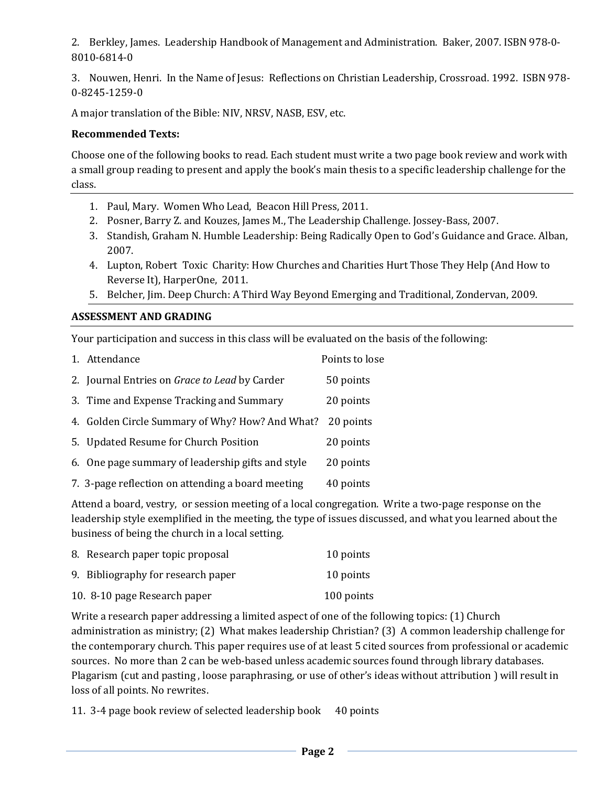2. Berkley, James. Leadership Handbook of Management and Administration. Baker, 2007. ISBN 978-0- 8010-6814-0

3. Nouwen, Henri. In the Name of Jesus: Reflections on Christian Leadership, Crossroad. 1992. ISBN 978- 0-8245-1259-0

A major translation of the Bible: NIV, NRSV, NASB, ESV, etc.

#### **Recommended Texts:**

Choose one of the following books to read. Each student must write a two page book review and work with a small group reading to present and apply the book's main thesis to a specific leadership challenge for the class.

- 1. Paul, Mary. Women Who Lead, Beacon Hill Press, 2011.
- 2. Posner, Barry Z. and Kouzes, James M., The Leadership Challenge. Jossey-Bass, 2007.
- 3. Standish, Graham N. Humble Leadership: Being Radically Open to God's Guidance and Grace. Alban, 2007.
- 4. Lupton, Robert Toxic Charity: How Churches and Charities Hurt Those They Help (And How to Reverse It), HarperOne, 2011.
- 5. Belcher, Jim. Deep Church: A Third Way Beyond Emerging and Traditional, Zondervan, 2009.

#### **ASSESSMENT AND GRADING**

Your participation and success in this class will be evaluated on the basis of the following:

| 1. Attendance                                             | Points to lose |
|-----------------------------------------------------------|----------------|
| 2. Journal Entries on Grace to Lead by Carder             | 50 points      |
| 3. Time and Expense Tracking and Summary                  | 20 points      |
| 4. Golden Circle Summary of Why? How? And What? 20 points |                |
| 5. Updated Resume for Church Position                     | 20 points      |
| 6. One page summary of leadership gifts and style         | 20 points      |
| 7. 3-page reflection on attending a board meeting         | 40 points      |

Attend a board, vestry, or session meeting of a local congregation. Write a two-page response on the leadership style exemplified in the meeting, the type of issues discussed, and what you learned about the business of being the church in a local setting.

| 8. Research paper topic proposal   | 10 points  |
|------------------------------------|------------|
| 9. Bibliography for research paper | 10 points  |
| 10. 8-10 page Research paper       | 100 points |

Write a research paper addressing a limited aspect of one of the following topics: (1) Church administration as ministry; (2) What makes leadership Christian? (3) A common leadership challenge for the contemporary church. This paper requires use of at least 5 cited sources from professional or academic sources. No more than 2 can be web-based unless academic sources found through library databases. Plagarism (cut and pasting , loose paraphrasing, or use of other's ideas without attribution ) will result in loss of all points. No rewrites.

11. 3-4 page book review of selected leadership book 40 points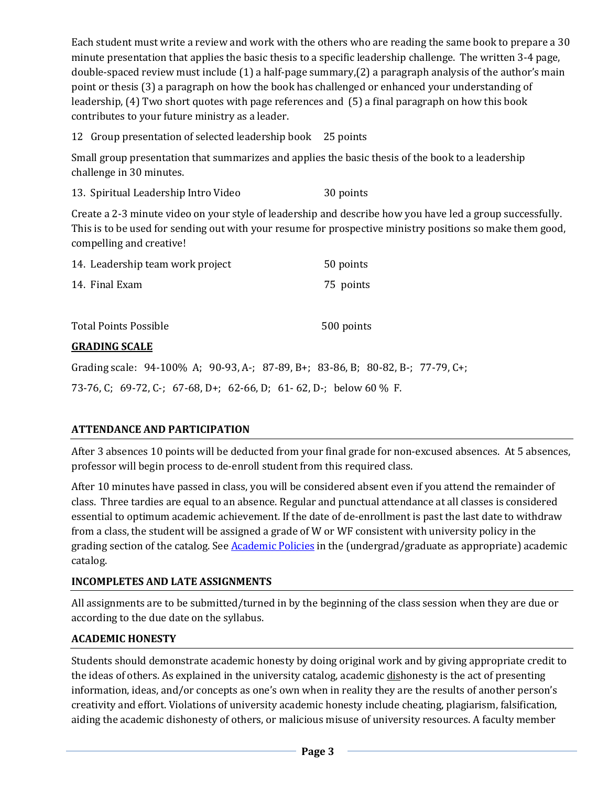Each student must write a review and work with the others who are reading the same book to prepare a 30 minute presentation that applies the basic thesis to a specific leadership challenge. The written 3-4 page, double-spaced review must include (1) a half-page summary,(2) a paragraph analysis of the author's main point or thesis (3) a paragraph on how the book has challenged or enhanced your understanding of leadership, (4) Two short quotes with page references and (5) a final paragraph on how this book contributes to your future ministry as a leader.

12 Group presentation of selected leadership book 25 points

Small group presentation that summarizes and applies the basic thesis of the book to a leadership challenge in 30 minutes.

13. Spiritual Leadership Intro Video 30 points

Create a 2-3 minute video on your style of leadership and describe how you have led a group successfully. This is to be used for sending out with your resume for prospective ministry positions so make them good, compelling and creative!

| 14. Leadership team work project                                                |  |           | 50 points  |  |  |
|---------------------------------------------------------------------------------|--|-----------|------------|--|--|
| 14. Final Exam                                                                  |  | 75 points |            |  |  |
|                                                                                 |  |           |            |  |  |
| <b>Total Points Possible</b>                                                    |  |           | 500 points |  |  |
| <b>GRADING SCALE</b>                                                            |  |           |            |  |  |
| Grading scale: 94-100% A; 90-93, A-; 87-89, B+; 83-86, B; 80-82, B-; 77-79, C+; |  |           |            |  |  |

73-76, C; 69-72, C-; 67-68, D+; 62-66, D; 61- 62, D-; below 60 % F.

## **ATTENDANCE AND PARTICIPATION**

After 3 absences 10 points will be deducted from your final grade for non-excused absences. At 5 absences, professor will begin process to de-enroll student from this required class.

After 10 minutes have passed in class, you will be considered absent even if you attend the remainder of class. Three tardies are equal to an absence. Regular and punctual attendance at all classes is considered essential to optimum academic achievement. If the date of de-enrollment is past the last date to withdraw from a class, the student will be assigned a grade of W or WF consistent with university policy in the grading section of the catalog. See **Academic Policies** in the (undergrad/graduate as appropriate) academic catalog.

## **INCOMPLETES AND LATE ASSIGNMENTS**

All assignments are to be submitted/turned in by the beginning of the class session when they are due or according to the due date on the syllabus.

## **ACADEMIC HONESTY**

Students should demonstrate academic honesty by doing original work and by giving appropriate credit to the ideas of others. As explained in the university catalog, academic dishonesty is the act of presenting information, ideas, and/or concepts as one's own when in reality they are the results of another person's creativity and effort. Violations of university academic honesty include cheating, plagiarism, falsification, aiding the academic dishonesty of others, or malicious misuse of university resources. A faculty member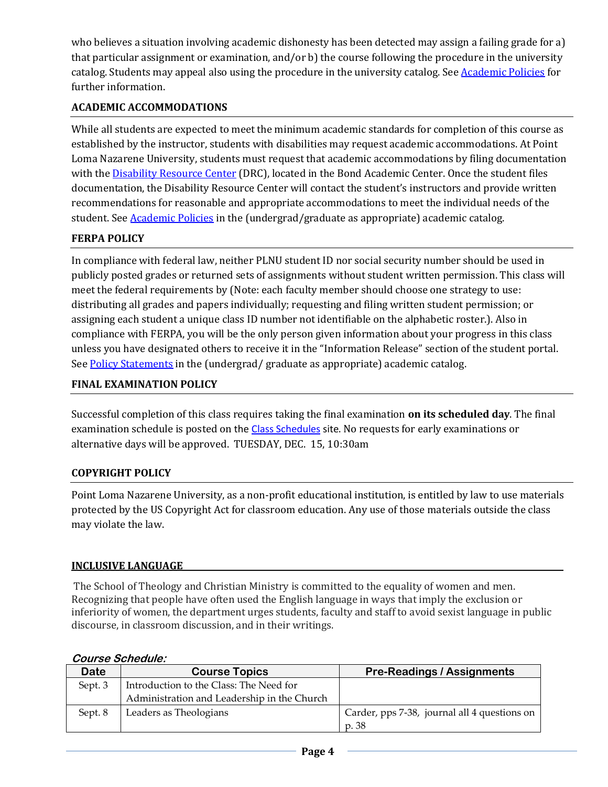who believes a situation involving academic dishonesty has been detected may assign a failing grade for a) that particular assignment or examination, and/or b) the course following the procedure in the university catalog. Students may appeal also using the procedure in the university catalog. Se[e Academic Policies](http://www.pointloma.edu/experience/academics/catalogs/undergraduate-catalog/point-loma-education/academic-policies) for further information.

## **ACADEMIC ACCOMMODATIONS**

While all students are expected to meet the minimum academic standards for completion of this course as established by the instructor, students with disabilities may request academic accommodations. At Point Loma Nazarene University, students must request that academic accommodations by filing documentation with th[e Disability Resource Center](http://www.pointloma.edu/experience/offices/administrative-offices/academic-advising-office/disability-resource-center) (DRC), located in the Bond Academic Center. Once the student files documentation, the Disability Resource Center will contact the student's instructors and provide written recommendations for reasonable and appropriate accommodations to meet the individual needs of the student. See **Academic Policies** in the (undergrad/graduate as appropriate) academic catalog.

## **FERPA POLICY**

In compliance with federal law, neither PLNU student ID nor social security number should be used in publicly posted grades or returned sets of assignments without student written permission. This class will meet the federal requirements by (Note: each faculty member should choose one strategy to use: distributing all grades and papers individually; requesting and filing written student permission; or assigning each student a unique class ID number not identifiable on the alphabetic roster.). Also in compliance with FERPA, you will be the only person given information about your progress in this class unless you have designated others to receive it in the "Information Release" section of the student portal. See [Policy Statements](http://www.pointloma.edu/experience/academics/catalogs/undergraduate-catalog/policy-statements) in the (undergrad/ graduate as appropriate) academic catalog.

## **FINAL EXAMINATION POLICY**

Successful completion of this class requires taking the final examination **on its scheduled day**. The final examination schedule is posted on the [Class Schedules](http://www.pointloma.edu/experience/academics/class-schedules) site. No requests for early examinations or alternative days will be approved. TUESDAY, DEC. 15, 10:30am

## **COPYRIGHT POLICY**

Point Loma Nazarene University, as a non-profit educational institution, is entitled by law to use materials protected by the US Copyright Act for classroom education. Any use of those materials outside the class may violate the law.

#### **INCLUSIVE LANGUAGE\_\_\_\_\_\_\_\_\_\_\_\_\_\_\_\_\_\_\_\_\_\_\_\_\_\_\_\_\_\_\_\_\_\_\_\_\_\_\_\_\_\_\_\_\_\_\_\_\_\_\_\_\_\_\_\_\_\_\_\_\_\_\_\_\_\_\_\_\_\_\_\_\_\_\_\_\_\_\_\_\_\_\_\_\_\_\_\_\_\_\_\_\_\_**

The School of Theology and Christian Ministry is committed to the equality of women and men. Recognizing that people have often used the English language in ways that imply the exclusion or inferiority of women, the department urges students, faculty and staff to avoid sexist language in public discourse, in classroom discussion, and in their writings.

#### **Course Schedule:**

| Date    | <b>Course Topics</b>                        | <b>Pre-Readings / Assignments</b>            |
|---------|---------------------------------------------|----------------------------------------------|
| Sept. 3 | Introduction to the Class: The Need for     |                                              |
|         | Administration and Leadership in the Church |                                              |
| Sept. 8 | Leaders as Theologians                      | Carder, pps 7-38, journal all 4 questions on |
|         |                                             | p. 38                                        |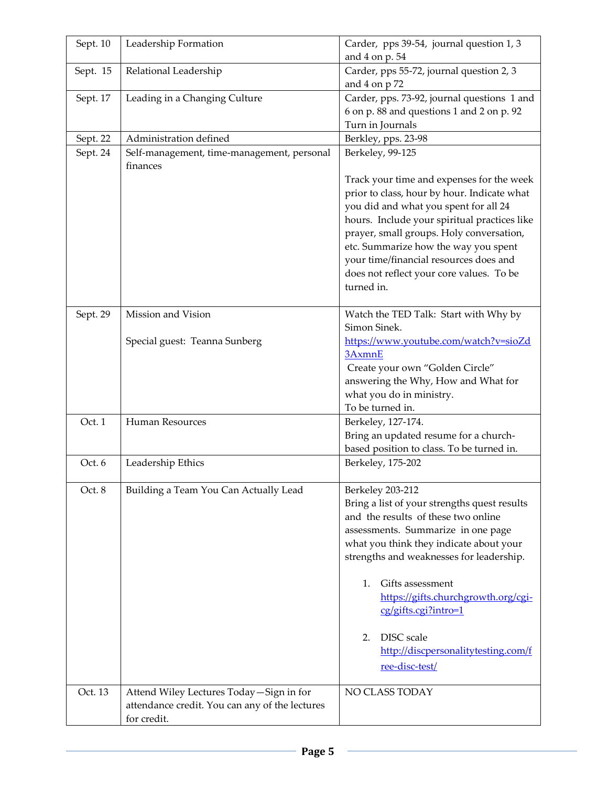| Sept. 10 | Leadership Formation                           | Carder, pps 39-54, journal question 1, 3                  |
|----------|------------------------------------------------|-----------------------------------------------------------|
|          |                                                | and 4 on p. 54                                            |
| Sept. 15 | Relational Leadership                          | Carder, pps 55-72, journal question 2, 3<br>and 4 on p 72 |
| Sept. 17 | Leading in a Changing Culture                  | Carder, pps. 73-92, journal questions 1 and               |
|          |                                                | 6 on p. 88 and questions 1 and 2 on p. 92                 |
|          |                                                | Turn in Journals                                          |
| Sept. 22 | Administration defined                         | Berkley, pps. 23-98                                       |
| Sept. 24 | Self-management, time-management, personal     | Berkeley, 99-125                                          |
|          | finances                                       |                                                           |
|          |                                                | Track your time and expenses for the week                 |
|          |                                                | prior to class, hour by hour. Indicate what               |
|          |                                                | you did and what you spent for all 24                     |
|          |                                                | hours. Include your spiritual practices like              |
|          |                                                | prayer, small groups. Holy conversation,                  |
|          |                                                | etc. Summarize how the way you spent                      |
|          |                                                | your time/financial resources does and                    |
|          |                                                | does not reflect your core values. To be                  |
|          |                                                | turned in.                                                |
|          |                                                |                                                           |
| Sept. 29 | Mission and Vision                             | Watch the TED Talk: Start with Why by                     |
|          |                                                | Simon Sinek.                                              |
|          | Special guest: Teanna Sunberg                  | https://www.youtube.com/watch?v=sioZd<br>3AxmnE           |
|          |                                                | Create your own "Golden Circle"                           |
|          |                                                | answering the Why, How and What for                       |
|          |                                                | what you do in ministry.                                  |
|          |                                                | To be turned in.                                          |
| Oct. 1   | Human Resources                                | Berkeley, 127-174.                                        |
|          |                                                | Bring an updated resume for a church-                     |
|          |                                                | based position to class. To be turned in.                 |
| Oct. 6   | Leadership Ethics                              | Berkeley, 175-202                                         |
|          |                                                |                                                           |
| Oct. 8   | Building a Team You Can Actually Lead          | Berkeley 203-212                                          |
|          |                                                | Bring a list of your strengths quest results              |
|          |                                                | and the results of these two online                       |
|          |                                                | assessments. Summarize in one page                        |
|          |                                                | what you think they indicate about your                   |
|          |                                                | strengths and weaknesses for leadership.                  |
|          |                                                |                                                           |
|          |                                                | Gifts assessment<br>1.                                    |
|          |                                                | https://gifts.churchgrowth.org/cgi-                       |
|          |                                                | cg/gifts.cgi?intro=1                                      |
|          |                                                | DISC scale<br>2.                                          |
|          |                                                | http://discpersonalitytesting.com/f                       |
|          |                                                |                                                           |
|          |                                                | ree-disc-test/                                            |
| Oct. 13  | Attend Wiley Lectures Today-Sign in for        | NO CLASS TODAY                                            |
|          | attendance credit. You can any of the lectures |                                                           |
|          | for credit.                                    |                                                           |